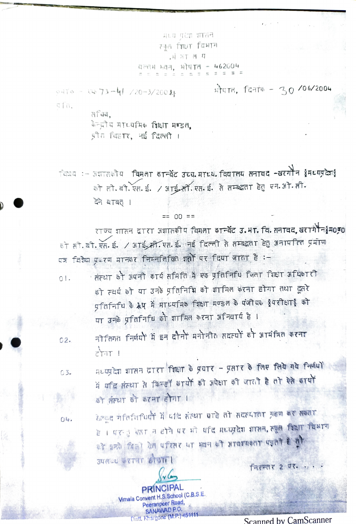मध्य पृथ्या शासन स्कूल शिक्षा विभाग , 中 河丁 西 耳 वल्लभ भवन, भोपाल - 462004

 $9474 - xy - 73 - 41 / 20 - 3 / 20011$  state, farte - 30/06/2004 efa,

> $AT44.$ केन्द्रीय माध्यमिक विक्षा मण्डल, थ्रीत चिहार, नई दिल्ली ।

विषय :- अशासकोय विमुना कान्वेंट उच्च माध्य विद्यालय सनावद -खरगौन क्वैमध्यप्रदेश{ को लो बी एस. ई. / आई-ती एस. ई. से तम्बद्धता हेतु एन. भो सी. देने बाबत ।

 $== 00 ==$ 

राज्य शासन दारा अशासकीय विमला कान्वेंट उ.भा. वि. तनावद,खरागेचैन∮म0क को ही बी. एस. ई. / आई. मी. एस. ई. नई दिल्ली से सम्बद्धता हेतु अनापतित प्रमाण पत्र विशेष प्रकरण मानकर निम्नलिखित शतो पर दिया जाता है :-

- िसंस्था को अपनी कार्य समिति में एक प्रतिनिधि जिला शिक्षा अधिकारी  $01.$ को स्वयं को या उनके प्रतिनिधि को शामिल करना होगा तथा दूसरे प्रतिनिधि के रूप में माध्यमिक शिक्षा मण्डल के पंजीयक हुपरीक्षाई को या उनके प्रतिनिधि को शामिल करना अनिवार्य है।
- नीतिगत निर्णयों में इन दौनों मनोनीत सदस्यों को आमंत्रित करना  $02.$  $\frac{1}{2}$  $\frac{1}{2}$
- मध्यप्रदेश शासन दारा शिक्षा के प्रयार प्रसार के लिए लिये गये निर्णयों  $03 -$ में मदि संस्था से किन्हीं कार्यों की अपेक्षा की जाती है तो ऐसे कार्यों को संस्था को करना होगा ।

के पाक्क प्रकार गणना का का वाद तर से पंजने में मैं मौरानित कर से उसका है। पर 3 स्थान होने पर भी यदि प्रध्यप्रदेश शासन, त्यूल विश्वा विभाग  $\frac{1}{2}$  is found the meth  $\frac{1}{2}$  is  $\frac{1}{2}$  is  $\frac{1}{2}$  is  $\frac{1}{2}$  is  $\frac{1}{2}$  is  $\frac{1}{2}$ ander of the group

**FREETT 2 TT. ...** 

**PRÍNCIPAL** Vimala Convent H.S.School (C.B.S.E. Peeranpeer Road, SANAWAD P.O. DistL Khargone (M.P.) 451411

04.

**Scanned by CamScanner**